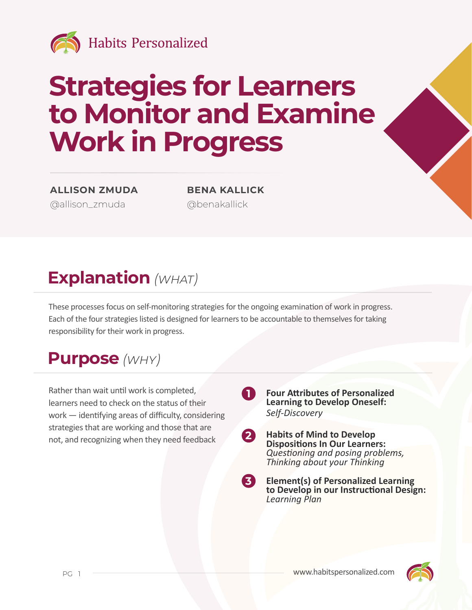

# **Strategies for Learners to Monitor and Examine Work in Progress**

**ALLISON ZMUDA BENA KALLICK** [@allison\\_zmuda](https://twitter.com/allison_zmuda) [@benakallick](https://twitter.com/benakallick)

## **Explanation** *(what)*

These processes focus on self-monitoring strategies for the ongoing examination of work in progress. Each of the four strategies listed is designed for learners to be accountable to themselves for taking responsibility for their work in progress.

**1**

#### **Purpose** *(why)*

Rather than wait until work is completed, learners need to check on the status of their work — identifying areas of difficulty, considering strategies that are working and those that are not, and recognizing when they need feedback

- **Four Attributes of Personalized Learning to Develop Oneself:**  *Self-Discovery*
- **Habits of Mind to Develop Dispositions In Our Learners:**  *Questioning and posing problems, Thinking about your Thinking* **2**
- **Element(s) of Personalized Learning to Develop in our Instructional Design:**  *Learning Plan* **3**

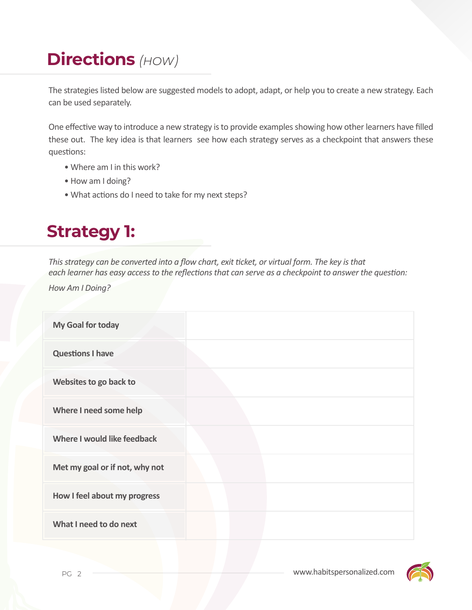# **Directions** *(how)*

The strategies listed below are suggested models to adopt, adapt, or help you to create a new strategy. Each can be used separately.

One effective way to introduce a new strategy is to provide examples showing how other learners have filled these out. The key idea is that learners see how each strategy serves as a checkpoint that answers these questions:

- Where am I in this work?
- How am I doing?
- What actions do I need to take for my next steps?

## **Strategy 1:**

*This strategy can be converted into a flow chart, exit ticket, or virtual form. The key is that each learner has easy access to the reflections that can serve as a checkpoint to answer the question:* 

*How Am I Doing?*

| My Goal for today              |  |
|--------------------------------|--|
| <b>Questions I have</b>        |  |
| Websites to go back to         |  |
| Where I need some help         |  |
| Where I would like feedback    |  |
| Met my goal or if not, why not |  |
| How I feel about my progress   |  |
| What I need to do next         |  |
|                                |  |

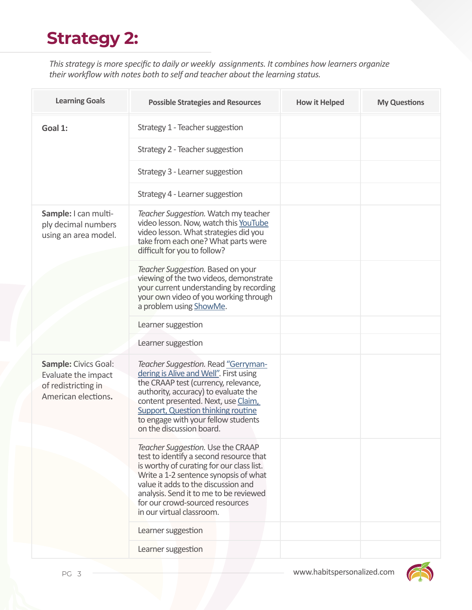# **Strategy 2:**

*This strategy is more specific to daily or weekly assignments. It combines how learners organize their workflow with notes both to self and teacher about the learning status.* 

| <b>Learning Goals</b>                                                                            | <b>Possible Strategies and Resources</b>                                                                                                                                                                                                                                                                             | <b>How it Helped</b> | <b>My Questions</b> |
|--------------------------------------------------------------------------------------------------|----------------------------------------------------------------------------------------------------------------------------------------------------------------------------------------------------------------------------------------------------------------------------------------------------------------------|----------------------|---------------------|
| Goal 1:                                                                                          | Strategy 1 - Teacher suggestion                                                                                                                                                                                                                                                                                      |                      |                     |
|                                                                                                  | Strategy 2 - Teacher suggestion                                                                                                                                                                                                                                                                                      |                      |                     |
|                                                                                                  | Strategy 3 - Learner suggestion                                                                                                                                                                                                                                                                                      |                      |                     |
|                                                                                                  | Strategy 4 - Learner suggestion                                                                                                                                                                                                                                                                                      |                      |                     |
| Sample: I can multi-<br>ply decimal numbers<br>using an area model.                              | Teacher Suggestion. Watch my teacher<br>video lesson. Now, watch this YouTube<br>video lesson. What strategies did you<br>take from each one? What parts were<br>difficult for you to follow?                                                                                                                        |                      |                     |
|                                                                                                  | Teacher Suggestion. Based on your<br>viewing of the two videos, demonstrate<br>your current understanding by recording<br>your own video of you working through<br>a problem using ShowMe.                                                                                                                           |                      |                     |
|                                                                                                  | Learner suggestion                                                                                                                                                                                                                                                                                                   |                      |                     |
|                                                                                                  | Learner suggestion                                                                                                                                                                                                                                                                                                   |                      |                     |
| <b>Sample: Civics Goal:</b><br>Evaluate the impact<br>of redistricting in<br>American elections. | Teacher Suggestion. Read "Gerryman-<br>dering is Alive and Well". First using<br>the CRAAP test (currency, relevance,<br>authority, accuracy) to evaluate the<br>content presented. Next, use Claim,<br><b>Support, Question thinking routine</b><br>to engage with your fellow students<br>on the discussion board. |                      |                     |
|                                                                                                  | Teacher Suggestion. Use the CRAAP<br>test to identify a second resource that<br>is worthy of curating for our class list.<br>Write a 1-2 sentence synopsis of what<br>value it adds to the discussion and<br>analysis. Send it to me to be reviewed<br>for our crowd-sourced resources<br>in our virtual classroom.  |                      |                     |
|                                                                                                  | Learner suggestion                                                                                                                                                                                                                                                                                                   |                      |                     |
|                                                                                                  | Learner suggestion                                                                                                                                                                                                                                                                                                   |                      |                     |

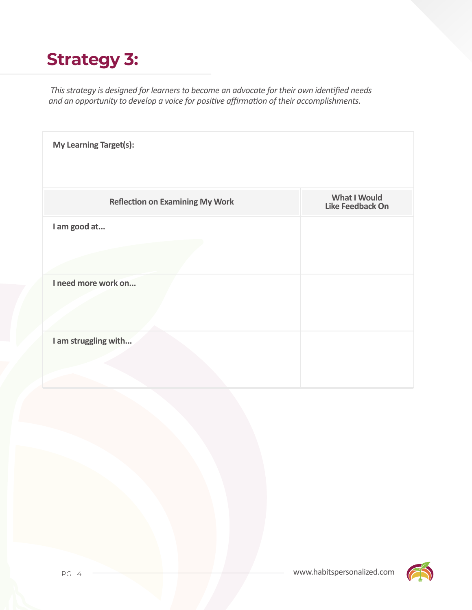# **Strategy 3:**

 *This strategy is designed for learners to become an advocate for their own identified needs and an opportunity to develop a voice for positive affirmation of their accomplishments.*

| <b>My Learning Target(s):</b>          |                                         |  |  |  |
|----------------------------------------|-----------------------------------------|--|--|--|
| <b>Reflection on Examining My Work</b> | <b>What I Would</b><br>Like Feedback On |  |  |  |
| I am good at                           |                                         |  |  |  |
| I need more work on                    |                                         |  |  |  |
| I am struggling with                   |                                         |  |  |  |

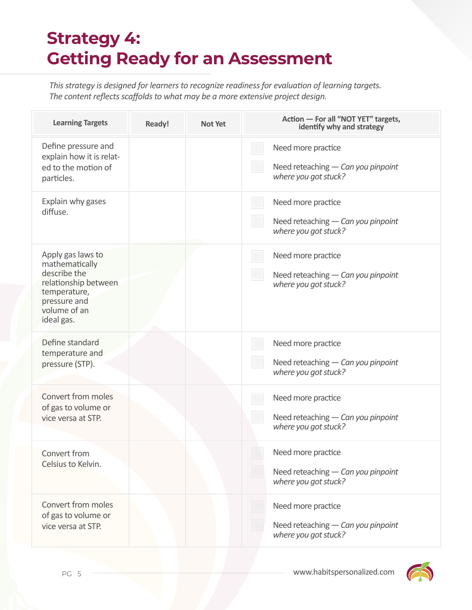## **Strategy 4: Getting Ready for an Assessment**

*This strategy is designed for learners to recognize readiness for evaluation of learning targets. The content reflects scaffolds to what may be a more extensive project design.*

| <b>Learning Targets</b>                                                                                                                   | Ready! | <b>Not Yet</b> | Action - For all "NOT YET" targets,<br>identify why and strategy                 |
|-------------------------------------------------------------------------------------------------------------------------------------------|--------|----------------|----------------------------------------------------------------------------------|
| Define pressure and<br>explain how it is relat-<br>ed to the motion of<br>particles.                                                      |        |                | Need more practice<br>Need reteaching - Can you pinpoint<br>where you got stuck? |
| Explain why gases<br>diffuse.                                                                                                             |        |                | Need more practice<br>Need reteaching - Can you pinpoint<br>where you got stuck? |
| Apply gas laws to<br>mathematically<br>describe the<br>relationship between<br>temperature,<br>pressure and<br>volume of an<br>ideal gas. |        |                | Need more practice<br>Need reteaching - Can you pinpoint<br>where you got stuck? |
| Define standard<br>temperature and<br>pressure (STP).                                                                                     |        |                | Need more practice<br>Need reteaching - Can you pinpoint<br>where you got stuck? |
| Convert from moles<br>of gas to volume or<br>vice versa at STP.                                                                           |        |                | Need more practice<br>Need reteaching - Can you pinpoint<br>where you got stuck? |
| Convert from<br>Celsius to Kelvin.                                                                                                        |        |                | Need more practice<br>Need reteaching - Can you pinpoint<br>where you got stuck? |
| Convert from moles<br>of gas to volume or<br>vice versa at STP.                                                                           |        |                | Need more practice<br>Need reteaching - Can you pinpoint<br>where you got stuck? |